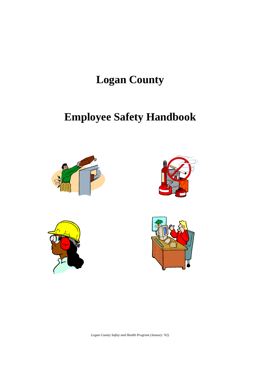# **Logan County**

# **Employee Safety Handbook**









*Logan County Safety and Health Program (January '02)*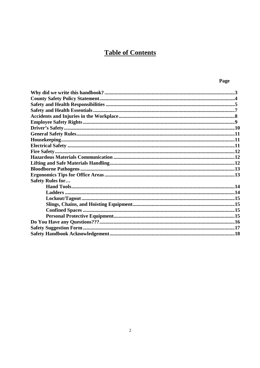# **Table of Contents**

| ×<br>×<br>٧ |
|-------------|
|-------------|

| <b>Safety Rules for</b> |  |
|-------------------------|--|
|                         |  |
|                         |  |
|                         |  |
|                         |  |
|                         |  |
|                         |  |
|                         |  |
|                         |  |
|                         |  |
|                         |  |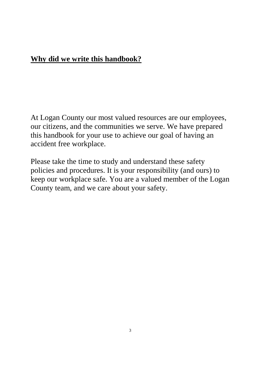# **Why did we write this handbook?**

At Logan County our most valued resources are our employees, our citizens, and the communities we serve. We have prepared this handbook for your use to achieve our goal of having an accident free workplace.

Please take the time to study and understand these safety policies and procedures. It is your responsibility (and ours) to keep our workplace safe. You are a valued member of the Logan County team, and we care about your safety.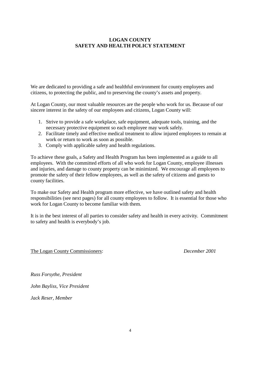## **LOGAN COUNTY SAFETY AND HEALTH POLICY STATEMENT**

We are dedicated to providing a safe and healthful environment for county employees and citizens, to protecting the public, and to preserving the county's assets and property.

At Logan County, our most valuable resources are the people who work for us. Because of our sincere interest in the safety of our employees and citizens, Logan County will:

- 1. Strive to provide a safe workplace, safe equipment, adequate tools, training, and the necessary protective equipment so each employee may work safely.
- 2. Facilitate timely and effective medical treatment to allow injured employees to remain at work or return to work as soon as possible.
- 3. Comply with applicable safety and health regulations.

To achieve these goals, a Safety and Health Program has been implemented as a guide to all employees. With the committed efforts of all who work for Logan County, employee illnesses and injuries, and damage to county property can be minimized. We encourage all employees to promote the safety of their fellow employees, as well as the safety of citizens and guests to county facilities.

To make our Safety and Health program more effective, we have outlined safety and health responsibilities (see next pages) for all county employees to follow. It is essential for those who work for Logan County to become familiar with them.

It is in the best interest of all parties to consider safety and health in every activity. Commitment to safety and health is everybody's job.

The Logan County Commissioners: *December 2001*

*Russ Forsythe, President*

*John Bayliss, Vice President*

*Jack Reser, Member*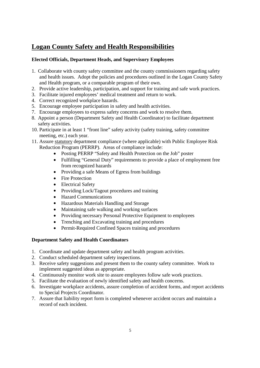# **Logan County Safety and Health Responsibilities**

### **Elected Officials, Department Heads, and Supervisory Employees**

- 1. Collaborate with county safety committee and the county commissioners regarding safety and health issues. Adopt the policies and procedures outlined in the Logan County Safety and Health program, or a comparable program of their own.
- 2. Provide active leadership, participation, and support for training and safe work practices.
- 3. Facilitate injured employees' medical treatment and return to work.
- 4. Correct recognized workplace hazards.
- 5. Encourage employee participation in safety and health activities.
- 7. Encourage employees to express safety concerns and work to resolve them.
- 8. Appoint a person (Department Safety and Health Coordinator) to facilitate department safety activities.
- 10. Participate in at least 1 "front line" safety activity (safety training, safety committee meeting, etc.) each year.
- 11. Assure statutory department compliance (where applicable) with Public Employee Risk Reduction Program (PERRP). Areas of compliance include:
	- Posting PERRP "Safety and Health Protection on the Job" poster
	- Fulfilling "General Duty" requirements to provide a place of employment free from recognized hazards
	- Providing a safe Means of Egress from buildings
	- Fire Protection
	- Electrical Safety
	- Providing Lock/Tagout procedures and training
	- Hazard Communications
	- Hazardous Materials Handling and Storage
	- Maintaining safe walking and working surfaces
	- Providing necessary Personal Protective Equipment to employees
	- Trenching and Excavating training and procedures
	- Permit-Required Confined Spaces training and procedures

#### **Department Safety and Health Coordinators**

- 1. Coordinate and update department safety and health program activities.
- 2. Conduct scheduled department safety inspections.
- 3. Receive safety suggestions and present them to the county safety committee. Work to implement suggested ideas as appropriate.
- 4. Continuously monitor work site to assure employees follow safe work practices.
- 5. Facilitate the evaluation of newly identified safety and health concerns.
- 6. Investigate workplace accidents, assure completion of accident forms, and report accidents to Special Projects Coordinator.
- 7. Assure that liability report form is completed whenever accident occurs and maintain a record of each incident.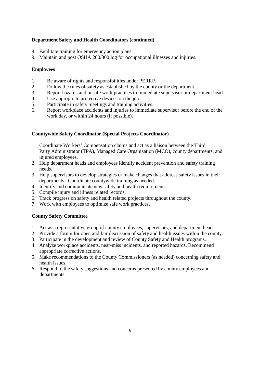#### **Department Safety and Health Coordinators (continued)**

- 8. Facilitate training for emergency action plans.
- 9. Maintain and post OSHA 200/300 log for occupational illnesses and injuries.

#### **Employees**

- 1. Be aware of rights and responsibilities under PERRP.
- 2. Follow the rules of safety as established by the county or the department.
- 3. Report hazards and unsafe work practices to immediate supervisor or department head.
- 4. Use appropriate protective devices on the job.
- 5. Participate in safety meetings and training activities.
- 6. Report workplace accidents and injuries to immediate supervisor before the end of the work day, or within 24 hours (if possible).

#### **Countywide Safety Coordinator (Special Projects Coordinator)**

- 1. Coordinate Workers' Compensation claims and act as a liaison between the Third Party Administrator (TPA), Managed Care Organization (MCO), county departments, and injured employees.
- 2. Help department heads and employees identify accident prevention and safety training needs.
- 3. Help supervisors to develop strategies or make changes that address safety issues in their departments. Coordinate countywide training as needed.
- 4. Identify and communicate new safety and health requirements.
- 5. Compile injury and illness related records.
- 6. Track progress on safety and health related projects throughout the county.
- 7. Work with employees to optimize safe work practices.

#### **County Safety Committee**

- 1. Act as a representative group of county employees, supervisors, and department heads.
- 2. Provide a forum for open and fair discussion of safety and health issues within the county.
- 3. Participate in the development and review of County Safety and Health programs.
- 4. Analyze workplace accidents, near-miss incidents, and reported hazards. Recommend appropriate corrective actions.
- 5. Make recommendations to the County Commissioners (as needed) concerning safety and health issues.
- 6. Respond to the safety suggestions and concerns presented by county employees and departments.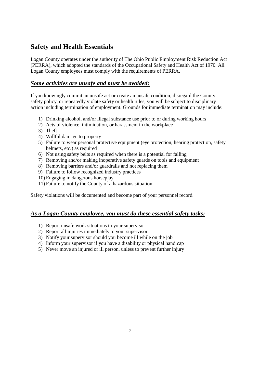# **Safety and Health Essentials**

Logan County operates under the authority of The Ohio Public Employment Risk Reduction Act (PERRA), which adopted the standards of the Occupational Safety and Health Act of 1970. All Logan County employees must comply with the requirements of PERRA.

## *Some activities are unsafe and must be avoided:*

If you knowingly commit an unsafe act or create an unsafe condition, disregard the County safety policy, or repeatedly violate safety or health rules, you will be subject to disciplinary action including termination of employment. Grounds for immediate termination may include:

- 1) Drinking alcohol, and/or illegal substance use prior to or during working hours
- 2) Acts of violence, intimidation, or harassment in the workplace
- 3) Theft
- 4) Willful damage to property
- 5) Failure to wear personal protective equipment (eye protection, hearing protection, safety helmets, etc.) as required
- 6) Not using safety belts as required when there is a potential for falling
- 7) Removing and/or making inoperative safety guards on tools and equipment
- 8) Removing barriers and/or guardrails and not replacing them
- 9) Failure to follow recognized industry practices
- 10) Engaging in dangerous horseplay
- 11) Failure to notify the County of a hazardous situation

Safety violations will be documented and become part of your personnel record.

## *As a Logan County employee, you must do these essential safety tasks:*

- 1) Report unsafe work situations to your supervisor
- 2) Report all injuries immediately to your supervisor
- 3) Notify your supervisor should you become ill while on the job
- 4) Inform your supervisor if you have a disability or physical handicap
- 5) Never move an injured or ill person, unless to prevent further injury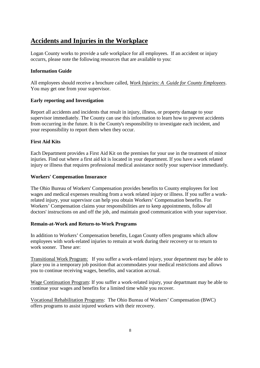# **Accidents and Injuries in the Workplace**

Logan County works to provide a safe workplace for all employees. If an accident or injury occurrs, please note the following resources that are available to you:

#### **Information Guide**

All employees should receive a brochure called, *Work Injuries: A Guide for County Employees*. You may get one from your supervisor.

#### **Early reporting and Investigation**

Report all accidents and incidents that result in injury, illness, or property damage to your supervisor immediately. The County can use this information to learn how to prevent accidents from occurring in the future. It is the County's responsibility to investigate each incident, and your responsibility to report them when they occur.

#### **First Aid Kits**

Each Department provides a First Aid Kit on the premises for your use in the treatment of minor injuries. Find out where a first aid kit is located in your department. If you have a work related injury or illness that requires professional medical assistance notify your supervisor immediately.

#### **Workers' Compensation Insurance**

The Ohio Bureau of Workers' Compensation provides benefits to County employees for lost wages and medical expenses resulting from a work related injury or illness. If you suffer a workrelated injury, your supervisor can help you obtain Workers' Compensation benefits. For Workers' Compensation claims your responsibilities are to keep appointments, follow all doctors' instructions on and off the job, and maintain good communication with your supervisor.

#### **Remain-at-Work and Return-to-Work Programs**

In addition to Workers' Compensation benefits, Logan County offers programs which allow employees with work-related injuries to remain at work during their recovery or to return to work sooner. These are:

Transitional Work Program: If you suffer a work-related injury, your department may be able to place you in a temporary job position that accommodates your medical restrictions and allows you to continue receiving wages, benefits, and vacation accrual.

Wage Continuation Program: If you suffer a work-related injury, your departmant may be able to continue your wages and benefits for a limited time while you recover.

Vocational Rehabilitation Programs: The Ohio Bureau of Workers' Compensation (BWC) offers programs to assist injured workers with their recovery.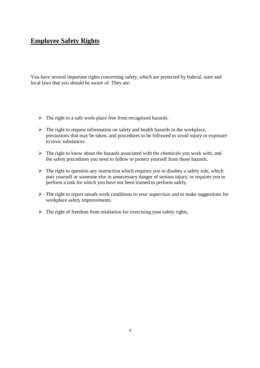# **Employee Safety Rights**

You have several important rights concerning safety, which are protected by federal, state and local laws that you should be aware of. They are:

- $\triangleright$  The right to a safe work-place free from recognized hazards.
- $\triangleright$  The right to request information on safety and health hazards in the workplace, precautions that may be taken, and procedures to be followed to avoid injury or exposure to toxic substances.
- $\triangleright$  The right to know about the hazards associated with the chemicals you work with, and the safety procedures you need to follow to protect yourself from those hazards.
- $\triangleright$  The right to question any instruction which requires you to disobey a safety rule, which puts yourself or someone else in unnecessary danger of serious injury, or requires you to perform a task for which you have not been trained to perform safely.
- $\triangleright$  The right to report unsafe work conditions to your supervisor and to make suggestions for workplace safety improvements.
- $\triangleright$  The right of freedom from retaliation for exercising your safety rights.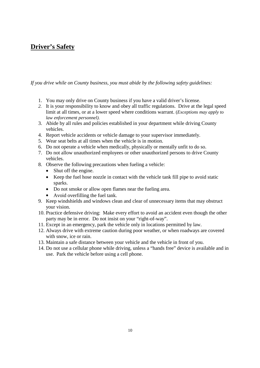# **Driver's Safety**

*If you drive while on County business, you must abide by the following safety guidelines:*

- 1. You may only drive on County business if you have a valid driver's license.
- *2.* It is your responsibility to know and obey all traffic regulations. Drive at the legal speed limit at all times, or at a lower speed where conditions warrant. (*Exceptions may apply to law enforcement personnel).*
- 3. Abide by all rules and policies established in your department while driving County vehicles.
- 4. Report vehicle accidents or vehicle damage to your supervisor immediately.
- 5. Wear seat belts at all times when the vehicle is in motion.
- 6. Do not operate a vehicle when medically, physically or mentally unfit to do so.
- 7. Do not allow unauthorized employees or other unauthorized persons to drive County vehicles.
- 8. Observe the following precautions when fueling a vehicle:
	- Shut off the engine.
	- Keep the fuel hose nozzle in contact with the vehicle tank fill pipe to avoid static sparks.
	- Do not smoke or allow open flames near the fueling area.
	- Avoid overfilling the fuel tank.
- 9. Keep windshields and windows clean and clear of unnecessary items that may obstruct your vision.
- 10. Practice defensive driving: Make every effort to avoid an accident even though the other party may be in error. Do not insist on your "right-of-way".
- 11. Except in an emergency, park the vehicle only in locations permitted by law.
- 12. Always drive with extreme caution during poor weather, or when roadways are covered with snow, ice or rain.
- 13. Maintain a safe distance between your vehicle and the vehicle in front of you.
- 14. Do not use a cellular phone while driving, unless a "hands free" device is available and in use. Park the vehicle before using a cell phone.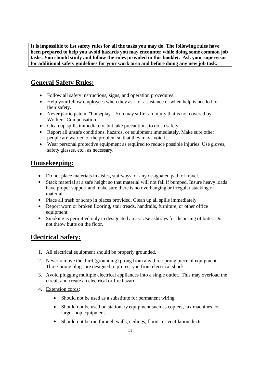**It is impossible to list safety rules for all the tasks you may do. The following rules have been prepared to help you avoid hazards you may encounter while doing some common job tasks. You should study and follow the rules provided in this booklet. Ask your supervisor for additional safety guidelines for your work area and before doing any new job task.**

# **General Safety Rules:**

- Follow all safety instructions, signs, and operation procedures.
- Help your fellow employees when they ask for assistance or when help is needed for their safety.
- Never participate in "horseplay". You may suffer an injury that is not covered by Workers' Compensation.
- Clean up spills immediately, but take precautions to do so safely.
- Report all unsafe conditions, hazards, or equipment immediately. Make sure other people are warned of the problem so that they may avoid it.
- Wear personal protective equipment as required to reduce possible injuries. Use gloves, safety glasses, etc., as necessary.

# **Housekeeping:**

- Do not place materials in aisles, stairways, or any designated path of travel.
- Stack material at a safe height so that material will not fall if bumped. Insure heavy loads have proper support and make sure there is no overhanging or irregular stacking of material.
- Place all trash or scrap in places provided. Clean up all spills immediately.
- Report worn or broken flooring, stair treads, handrails, furniture, or other office equipment.
- Smoking is permitted only in designated areas. Use ashtrays for disposing of butts. Do not throw butts on the floor.

# **Electrical Safety:**

- 1. All electrical equipment should be properly grounded.
- 2. Never remove the third (grounding) prong from any three-prong piece of equipment. Three-prong plugs are designed to protect you from electrical shock.
- 3. Avoid plugging multiple electrical appliances into a single outlet. This may overload the circuit and create an electrical or fire hazard.
- 4. Extension cords:
	- Should not be used as a substitute for permanent wiring.
	- Should not be used on stationary equipment such as copiers, fax machines, or large shop equipment.
	- Should not be run through walls, ceilings, floors, or ventilation ducts.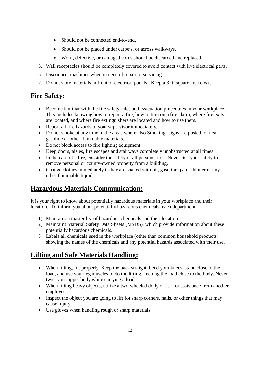- Should not be connected end-to-end.
- Should not be placed under carpets, or across walkways.
- Worn, defective, or damaged cords should be discarded and replaced.
- 5. Wall receptacles should be completely covered to avoid contact with live electrical parts.
- 6. Disconnect machines when in need of repair or servicing.
- 7. Do not store materials in front of electrical panels. Keep a 3 ft. square area clear.

# **Fire Safety:**

- Become familiar with the fire safety rules and evacuation procedures in your workplace. This includes knowing how to report a fire, how to turn on a fire alarm, where fire exits are located, and where fire extinguishers are located and how to use them.
- Report all fire hazards to your supervisor immediately.
- Do not smoke at any time in the areas where "No Smoking" signs are posted, or near gasoline or other flammable materials.
- Do not block access to fire fighting equipment.
- Keep doors, aisles, fire escapes and stairways completely unobstructed at all times.
- In the case of a fire, consider the safety of all persons first. Never risk your safety to remove personal or county-owned property from a building.
- Change clothes immediately if they are soaked with oil, gasoline, paint thinner or any other flammable liquid.

# **Hazardous Materials Communication:**

It is your right to know about potentially hazardous materials in your workplace and their location. To inform you about potentially hazardous chemicals, each department:

- 1) Maintains a master list of hazardous chemicals and their location.
- 2) Maintains Material Safety Data Sheets (MSDS), which provide information about these potentially hazardous chemicals.
- 3) Labels all chemicals used in the workplace (other than common household products) showing the names of the chemicals and any potential hazards associated with their use.

# **Lifting and Safe Materials Handling:**

- When lifting, lift properly. Keep the back straight, bend your knees, stand close to the load, and use your leg muscles to do the lifting, keeping the load close to the body. Never twist your upper body while carrying a load.
- When lifting heavy objects, utilize a two-wheeled dolly or ask for assistance from another employee.
- Inspect the object you are going to lift for sharp corners, nails, or other things that may cause injury.
- Use gloves when handling rough or sharp materials.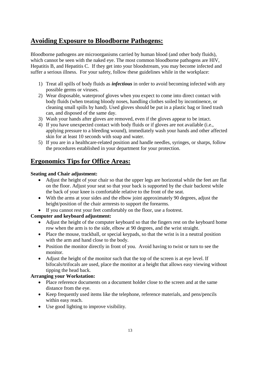# **Avoiding Exposure to Bloodborne Pathogens:**

Bloodborne pathogens are microorganisms carried by human blood (and other body fluids), which cannot be seen with the naked eye. The most common bloodborne pathogens are HIV, Hepatitis B, and Hepatitis C. If they get into your bloodstream, you may become infected and suffer a serious illness. For your safety, follow these guidelines while in the workplace:

- 1) Treat all spills of body fluids as *infectious* in order to avoid becoming infected with any possible germs or viruses.
- 2) Wear disposable, waterproof gloves when you expect to come into direct contact with body fluids (when treating bloody noses, handling clothes soiled by incontinence, or cleaning small spills by hand). Used gloves should be put in a plastic bag or lined trash can, and disposed of the same day.
- 3) Wash your hands after gloves are removed, even if the gloves appear to be intact.
- 4) If you have unexpected contact with body fluids or if gloves are not available (i.e., applying pressure to a bleeding wound), immediately wash your hands and other affected skin for at least 10 seconds with soap and water.
- 5) If you are in a healthcare-related position and handle needles, syringes, or sharps, follow the procedures established in your department for your protection.

# **Ergonomics Tips for Office Areas:**

### **Seating and Chair adjustment:**

- Adjust the height of your chair so that the upper legs are horizontal while the feet are flat on the floor. Adjust your seat so that your back is supported by the chair backrest while the back of your knee is comfortable relative to the front of the seat.
- With the arms at your sides and the elbow joint approximately 90 degrees, adjust the height/position of the chair armrests to support the forearms.
- If you cannot rest your feet comfortably on the floor, use a footrest.

## **Computer and keyboard adjustment:**

- Adjust the height of the computer keyboard so that the fingers rest on the keyboard home row when the arm is to the side, elbow at 90 degrees, and the wrist straight.
- Place the mouse, trackball, or special keypads, so that the wrist is in a neutral position with the arm and hand close to the body.
- Position the monitor directly in front of you. Avoid having to twist or turn to see the monitor.
- Adjust the height of the monitor such that the top of the screen is at eye level. If bifocals/trifocals are used, place the monitor at a height that allows easy viewing without tipping the head back.

## **Arranging your Workstation:**

- Place reference documents on a document holder close to the screen and at the same distance from the eye.
- Keep frequently used items like the telephone, reference materials, and pens/pencils within easy reach.
- Use good lighting to improve visibility.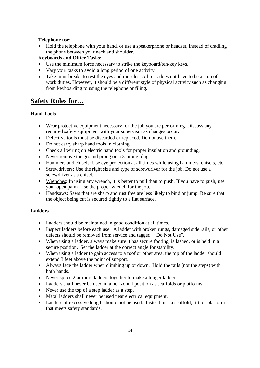#### **Telephone use:**

 Hold the telephone with your hand, or use a speakerphone or headset, instead of cradling the phone between your neck and shoulder.

### **Keyboards and Office Tasks:**

- Use the minimum force necessary to strike the keyboard/ten-key keys.
- Vary your tasks to avoid a long period of one activity.
- Take mini-breaks to rest the eyes and muscles. A break does not have to be a stop of work duties. However, it should be a different style of physical activity such as changing from keyboarding to using the telephone or filing.

# **Safety Rules for…**

### **Hand Tools**

- Wear protective equipment necessary for the job you are performing. Discuss any required safety equipment with your supervisor as changes occur.
- Defective tools must be discarded or replaced. Do not use them.
- Do not carry sharp hand tools in clothing.
- Check all wiring on electric hand tools for proper insulation and grounding.
- Never remove the ground prong on a 3-prong plug.
- Hammers and chisels: Use eye protection at all times while using hammers, chisels, etc.
- Screwdrivers: Use the right size and type of screwdriver for the job. Do not use a screwdriver as a chisel.
- Wrenches: In using any wrench, it is better to pull than to push. If you have to push, use your open palm. Use the proper wrench for the job.
- Handsaws: Saws that are sharp and rust free are less likely to bind or jump. Be sure that the object being cut is secured tightly to a flat surface.

#### **Ladders**

- Ladders should be maintained in good condition at all times.
- Inspect ladders before each use. A ladder with broken rungs, damaged side rails, or other defects should be removed from service and tagged, "Do Not Use".
- When using a ladder, always make sure it has secure footing, is lashed, or is held in a secure position. Set the ladder at the correct angle for stability.
- When using a ladder to gain access to a roof or other area, the top of the ladder should extend 3 feet above the point of support.
- Always face the ladder when climbing up or down. Hold the rails (not the steps) with both hands.
- Never splice 2 or more ladders together to make a longer ladder.
- Ladders shall never be used in a horizontal position as scaffolds or platforms.
- Never use the top of a step ladder as a step.
- Metal ladders shall never be used near electrical equipment.
- Ladders of excessive length should not be used. Instead, use a scaffold, lift, or platform that meets safety standards.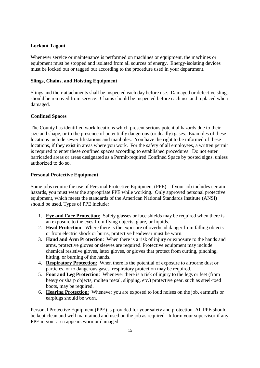#### **Lockout Tagout**

Whenever service or maintenance is performed on machines or equipment, the machines or equipment must be stopped and isolated from all sources of energy. Energy-isolating devices must be locked out or tagged out according to the procedure used in your department.

#### **Slings, Chains, and Hoisting Equipment**

Slings and their attachments shall be inspected each day before use. Damaged or defective slings should be removed from service. Chains should be inspected before each use and replaced when damaged.

#### **Confined Spaces**

The County has identified work locations which present serious potential hazards due to their size and shape, or to the presence of potentially dangerous (or deadly) gases. Examples of these locations include sewer liftstations and manholes. You have the right to be informed of these locations, if they exist in areas where you work. For the safety of all employees, a written permit is required to enter these confined spaces according to established procedures. Do not enter barricaded areas or areas designated as a Permit-required Confined Space by posted signs, unless authorized to do so.

#### **Personal Protective Equipment**

Some jobs require the use of Personal Protective Equipment (PPE). If your job includes certain hazards, you must wear the appropriate PPE while working. Only approved personal protective equipment, which meets the standards of the American National Standards Institute (ANSI) should be used. Types of PPE include:

- 1. **Eye and Face Protection**: Safety glasses or face shields may be required when there is an exposure to the eyes from flying objects, glare, or liquids.
- 2. **Head Protection**: Where there is the exposure of overhead danger from falling objects or from electric shock or burns, protective headwear must be worn.
- 3. **Hand and Arm Protection**: When there is a risk of injury or exposure to the hands and arms, protective gloves or sleeves are required. Protective equipment may include chemical resistive gloves, latex gloves, or gloves that protect from cutting, pinching, hitting, or burning of the hands.
- 4. **Respiratory Protection**: When there is the potential of exposure to airborne dust or particles, or to dangerous gases, respiratory protection may be required.
- 5. **Foot and Leg Protection**: Whenever there is a risk of injury to the legs or feet (from heavy or sharp objects, molten metal, slipping, etc.) protective gear, such as steel-toed boots, may be required.
- 6. **Hearing Protection**: Whenever you are exposed to loud noises on the job, earmuffs or earplugs should be worn.

Personal Protective Equipment (PPE) is provided for your safety and protection. All PPE should be kept clean and well maintained and used on the job as required. Inform your supervisor if any PPE in your area appears worn or damaged.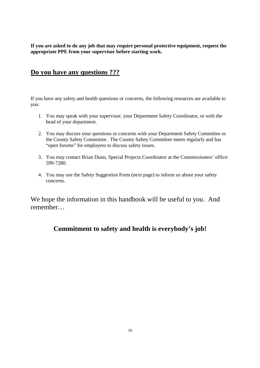**If you are asked to do any job that may require personal protective equipment, request the appropriate PPE from your supervisor before starting work.**

# **Do you have any questions ???**

If you have any safety and health questions or concerns, the following resources are available to you:

- 1. You may speak with your supervisor, your Department Safety Coordinator, or with the head of your department.
- 2. You may discuss your questions or concerns with your Department Safety Committee or the County Safety Committee. The County Safety Committee meets regularly and has "open forums" for employees to discuss safety issues.
- 3. You may contact Brian Dunn, Special Projects Coordinator at the Commissioners' office: 599-7280.
- 4. You may use the Safety Suggestion Form (next page) to inform us about your safety concerns.

We hope the information in this handbook will be useful to you. And remember…

**Commitment to safety and health is everybody's job!**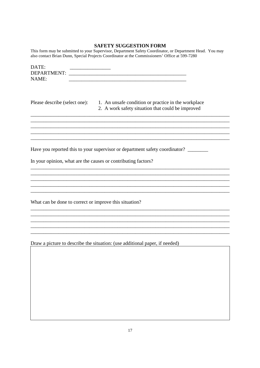### SAFETY SUGGESTION FORM

This form may be submitted to your Supervisor, Department Safety Coordinator, or Department Head. You may also contact Brian Dunn, Special Projects Coordinator at the Commissioners' Office at 599-7280

| DATE:<br>DEPARTMENT:<br>NAME:                                 |                                                                                                          |
|---------------------------------------------------------------|----------------------------------------------------------------------------------------------------------|
| Please describe (select one):                                 | 1. An unsafe condition or practice in the workplace<br>2. A work safety situation that could be improved |
|                                                               |                                                                                                          |
|                                                               | Have you reported this to your supervisor or department safety coordinator? ________                     |
| In your opinion, what are the causes or contributing factors? |                                                                                                          |
|                                                               |                                                                                                          |
| What can be done to correct or improve this situation?        |                                                                                                          |
|                                                               |                                                                                                          |
|                                                               | Draw a picture to describe the situation: (use additional paper, if needed)                              |
|                                                               |                                                                                                          |
|                                                               |                                                                                                          |
|                                                               |                                                                                                          |